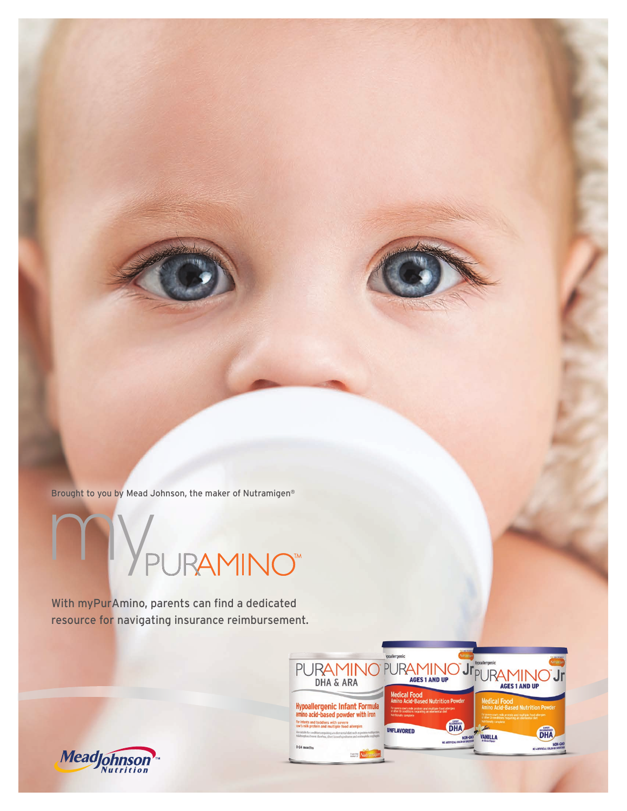Brought to you by Mead Johnson, the maker of Nutramigen®

**YPURAMINO** 

With myPurAmino, parents can find a dedicated resource for navigating insurance reimbursement.



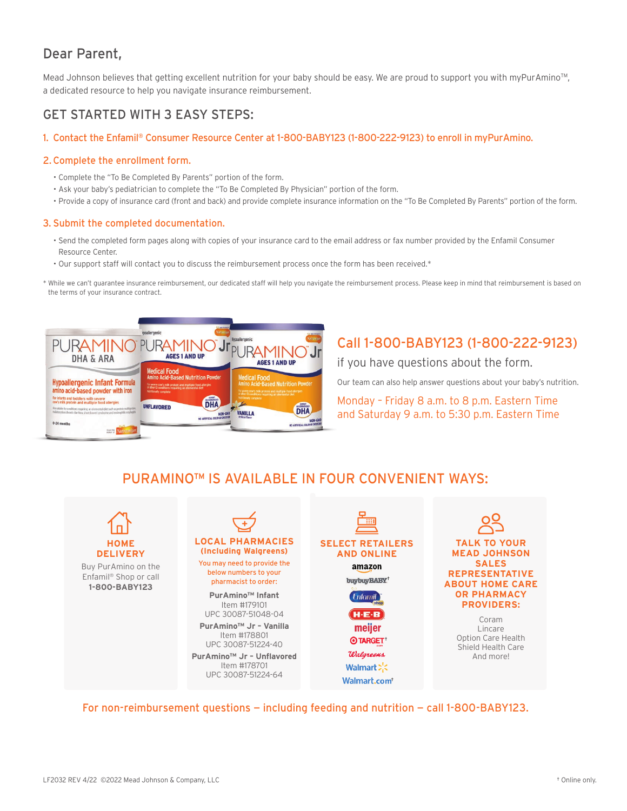## Dear Parent,

Mead Johnson believes that getting excellent nutrition for your baby should be easy. We are proud to support you with myPurAmino™, a dedicated resource to help you navigate insurance reimbursement.

### GET STARTED WITH 3 EASY STEPS:

#### 1. Contact the Enfamil® Consumer Resource Center at 1-800-BABY123 (1-800-222-9123) to enroll in myPurAmino.

#### 2. Complete the enrollment form.

- Complete the "To Be Completed By Parents" portion of the form.
- Ask your baby's pediatrician to complete the "To Be Completed By Physician" portion of the form.
- Provide a copy of insurance card (front and back) and provide complete insurance information on the "To Be Completed By Parents" portion of the form.

#### 3. Submit the completed documentation.

- Send the completed form pages along with copies of your insurance card to the email address or fax number provided by the Enfamil Consumer Resource Center.
- Our support staff will contact you to discuss the reimbursement process once the form has been received.\*

\* While we can't guarantee insurance reimbursement, our dedicated staff will help you navigate the reimbursement process. Please keep in mind that reimbursement is based on the terms of your insurance contract.



# Call 1-800-BABY123 (1-800-222-9123)

if you have questions about the form.

Our team can also help answer questions about your baby's nutrition.

Monday – Friday 8 a.m. to 8 p.m. Eastern Time and Saturday 9 a.m. to 5:30 p.m. Eastern Time

## PURAMINO™ IS AVAILABLE IN FOUR CONVENIENT WAYS:



For non-reimbursement questions — including feeding and nutrition — call 1-800-BABY123.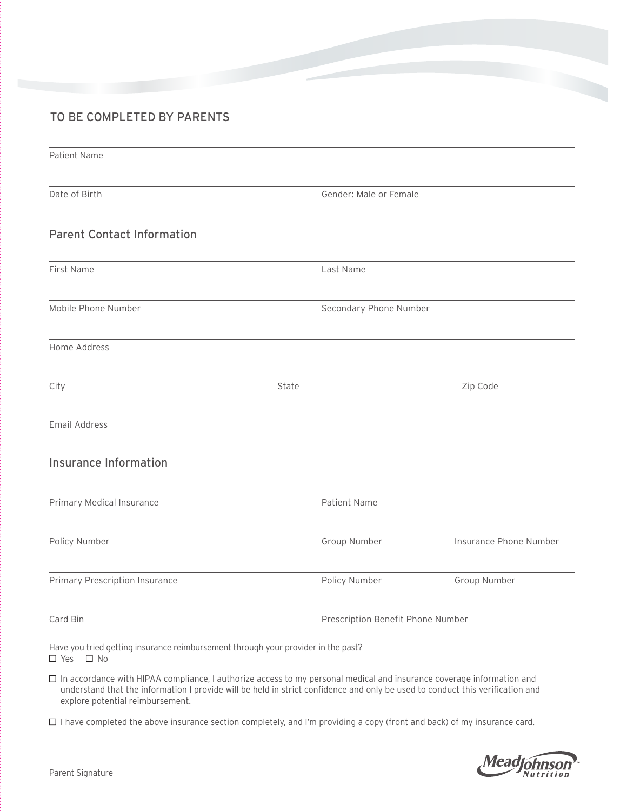### TO BE COMPLETED BY PARENTS

| Patient Name                                                                                              |       |                                   |                        |  |
|-----------------------------------------------------------------------------------------------------------|-------|-----------------------------------|------------------------|--|
| Date of Birth                                                                                             |       | Gender: Male or Female            |                        |  |
| <b>Parent Contact Information</b>                                                                         |       |                                   |                        |  |
| First Name                                                                                                |       | Last Name                         |                        |  |
| Mobile Phone Number                                                                                       |       | Secondary Phone Number            |                        |  |
| Home Address                                                                                              |       |                                   |                        |  |
| City                                                                                                      | State |                                   | Zip Code               |  |
| <b>Email Address</b>                                                                                      |       |                                   |                        |  |
| <b>Insurance Information</b>                                                                              |       |                                   |                        |  |
| Primary Medical Insurance                                                                                 |       | Patient Name                      |                        |  |
| Policy Number                                                                                             |       | Group Number                      | Insurance Phone Number |  |
| Primary Prescription Insurance                                                                            |       | Policy Number                     | Group Number           |  |
| Card Bin                                                                                                  |       | Prescription Benefit Phone Number |                        |  |
| Have you tried getting insurance reimbursement through your provider in the past?<br>$\Box$ Yes $\Box$ No |       |                                   |                        |  |

 In accordance with HIPAA compliance, I authorize access to my personal medical and insurance coverage information and understand that the information I provide will be held in strict confidence and only be used to conduct this verification and explore potential reimbursement.

 $\Box$  I have completed the above insurance section completely, and I'm providing a copy (front and back) of my insurance card.